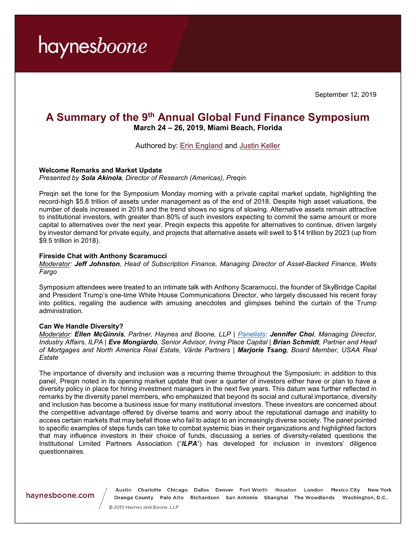September 12, 2019

### **A Summary of the 9th Annual Global Fund Finance Symposium**

**March 24 – 26, 2019, Miami Beach, Florida**

Authored by: [Erin England](https://www.haynesboone.com/people/e/england-erin) and [Justin Keller](https://www.haynesboone.com/people/k/keller-justin)

#### **Welcome Remarks and Market Update** *Presented by Sola Akinola, Director of Research (Americas), Preqin*

Preqin set the tone for the Symposium Monday morning with a private capital market update, highlighting the record-high \$5.8 trillion of assets under management as of the end of 2018. Despite high asset valuations, the number of deals increased in 2018 and the trend shows no signs of slowing. Alternative assets remain attractive to institutional investors, with greater than 80% of such investors expecting to commit the same amount or more capital to alternatives over the next year. Preqin expects this appetite for alternatives to continue, driven largely by investor demand for private equity, and projects that alternative assets will swell to \$14 trillion by 2023 (up from \$9.5 trillion in 2018).

#### **Fireside Chat with Anthony Scaramucci**

*Moderator: Jeff Johnston, Head of Subscription Finance, Managing Director of Asset-Backed Finance, Wells Fargo*

Symposium attendees were treated to an intimate talk with Anthony Scaramucci, the founder of SkyBridge Capital and President Trump's one-time White House Communications Director, who largely discussed his recent foray into politics, regaling the audience with amusing anecdotes and glimpses behind the curtain of the Trump administration.

#### **Can We Handle Diversity?**

*Moderator: Ellen McGinnis, Partner, Haynes and Boone, LLP | [Panelists:](https://www.fundfinanceassociation.com/global-conference/speakers/) Jennifer Choi, Managing Director, Industry Affairs, ILPA | Eve Mongiardo, Senior Advisor, Irving Place Capital | Brian Schmidt, Partner and Head of Mortgages and North America Real Estate, Värde Partners | Marjorie Tsang, Board Member, USAA Real Estate*

The importance of diversity and inclusion was a recurring theme throughout the Symposium: in addition to this panel, Preqin noted in its opening market update that over a quarter of investors either have or plan to have a diversity policy in place for hiring investment managers in the next five years. This datum was further reflected in remarks by the diversity panel members, who emphasized that beyond its social and cultural importance, diversity and inclusion has become a business issue for many institutional investors. These investors are concerned about the competitive advantage offered by diverse teams and worry about the reputational damage and inability to access certain markets that may befall those who fail to adapt to an increasingly diverse society. The panel pointed to specific examples of steps funds can take to combat systemic bias in their organizations and highlighted factors that may influence investors in their choice of funds, discussing a series of diversity-related questions the Institutional Limited Partners Association ("*ILPA*") has developed for inclusion in investors' diligence questionnaires.

#### haynesboone.com

Austin Charlotte Chicago Dallas Denver Fort Worth Houston London Mexico City New York Orange County Palo Alto Richardson San Antonio Shanghai The Woodlands Washington, D.C.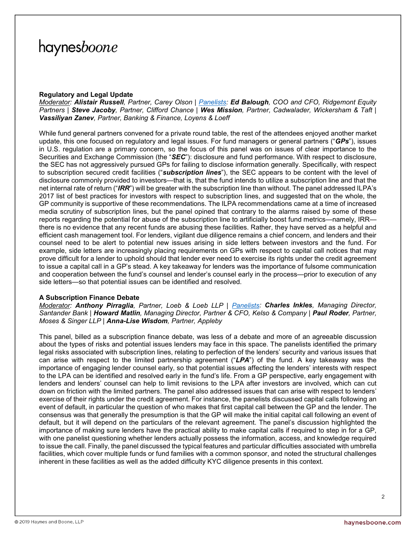#### **Regulatory and Legal Update**

*Moderator: Alistair Russell, Partner, Carey Olson | [Panelists:](https://www.fundfinanceassociation.com/global-conference/speakers/) Ed Balough, COO and CFO, Ridgemont Equity Partners | Steve Jacoby, Partner, Clifford Chance | Wes Mission, Partner, Cadwalader, Wickersham & Taft | Vassiliyan Zanev, Partner, Banking & Finance, Loyens & Loeff*

While fund general partners convened for a private round table, the rest of the attendees enjoyed another market update, this one focused on regulatory and legal issues. For fund managers or general partners ("*GPs*"), issues in U.S. regulation are a primary concern, so the focus of this panel was on issues of clear importance to the Securities and Exchange Commission (the "*SEC*"): disclosure and fund performance. With respect to disclosure, the SEC has not aggressively pursued GPs for failing to disclose information generally. Specifically, with respect to subscription secured credit facilities ("*subscription lines*"), the SEC appears to be content with the level of disclosure commonly provided to investors—that is, that the fund intends to utilize a subscription line and that the net internal rate of return ("*IRR*") will be greater with the subscription line than without. The panel addressed ILPA's 2017 list of best practices for investors with respect to subscription lines, and suggested that on the whole, the GP community is supportive of these recommendations. The ILPA recommendations came at a time of increased media scrutiny of subscription lines, but the panel opined that contrary to the alarms raised by some of these reports regarding the potential for abuse of the subscription line to artificially boost fund metrics—namely, IRR there is no evidence that any recent funds are abusing these facilities. Rather, they have served as a helpful and efficient cash management tool. For lenders, vigilant due diligence remains a chief concern, and lenders and their counsel need to be alert to potential new issues arising in side letters between investors and the fund. For example, side letters are increasingly placing requirements on GPs with respect to capital call notices that may prove difficult for a lender to uphold should that lender ever need to exercise its rights under the credit agreement to issue a capital call in a GP's stead. A key takeaway for lenders was the importance of fulsome communication and cooperation between the fund's counsel and lender's counsel early in the process—prior to execution of any side letters—so that potential issues can be identified and resolved.

#### **A Subscription Finance Debate**

*Moderator: Anthony Pirraglia, Partner, Loeb & Loeb LLP | [Panelists:](https://www.fundfinanceassociation.com/global-conference/speakers/) Charles Inkles, Managing Director, Santander Bank | Howard Matlin, Managing Director, Partner & CFO, Kelso & Company | Paul Roder, Partner, Moses & Singer LLP | Anna-Lise Wisdom, Partner, Appleby*

This panel, billed as a subscription finance debate, was less of a debate and more of an agreeable discussion about the types of risks and potential issues lenders may face in this space. The panelists identified the primary legal risks associated with subscription lines, relating to perfection of the lenders' security and various issues that can arise with respect to the limited partnership agreement ("*LPA*") of the fund. A key takeaway was the importance of engaging lender counsel early, so that potential issues affecting the lenders' interests with respect to the LPA can be identified and resolved early in the fund's life. From a GP perspective, early engagement with lenders and lenders' counsel can help to limit revisions to the LPA after investors are involved, which can cut down on friction with the limited partners. The panel also addressed issues that can arise with respect to lenders' exercise of their rights under the credit agreement. For instance, the panelists discussed capital calls following an event of default, in particular the question of who makes that first capital call between the GP and the lender. The consensus was that generally the presumption is that the GP will make the initial capital call following an event of default, but it will depend on the particulars of the relevant agreement. The panel's discussion highlighted the importance of making sure lenders have the practical ability to make capital calls if required to step in for a GP, with one panelist questioning whether lenders actually possess the information, access, and knowledge required to issue the call. Finally, the panel discussed the typical features and particular difficulties associated with umbrella facilities, which cover multiple funds or fund families with a common sponsor, and noted the structural challenges inherent in these facilities as well as the added difficulty KYC diligence presents in this context.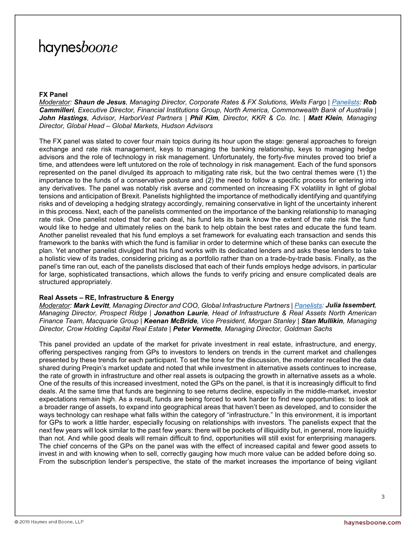#### **FX Panel**

*Moderator: Shaun de Jesus, Managing Director, Corporate Rates & FX Solutions, Wells Fargo | [Panelists:](https://www.fundfinanceassociation.com/global-conference/speakers/) Rob Cammilleri, Executive Director, Financial Institutions Group, North America, Commonwealth Bank of Australia | John Hastings, Advisor, HarborVest Partners | Phil Kim, Director, KKR & Co. Inc. | Matt Klein, Managing Director, Global Head – Global Markets, Hudson Advisors*

The FX panel was slated to cover four main topics during its hour upon the stage: general approaches to foreign exchange and rate risk management, keys to managing the banking relationship, keys to managing hedge advisors and the role of technology in risk management. Unfortunately, the forty-five minutes proved too brief a time, and attendees were left untutored on the role of technology in risk management. Each of the fund sponsors represented on the panel divulged its approach to mitigating rate risk, but the two central themes were (1) the importance to the funds of a conservative posture and (2) the need to follow a specific process for entering into any derivatives. The panel was notably risk averse and commented on increasing FX volatility in light of global tensions and anticipation of Brexit. Panelists highlighted the importance of methodically identifying and quantifying risks and of developing a hedging strategy accordingly, remaining conservative in light of the uncertainty inherent in this process. Next, each of the panelists commented on the importance of the banking relationship to managing rate risk. One panelist noted that for each deal, his fund lets its bank know the extent of the rate risk the fund would like to hedge and ultimately relies on the bank to help obtain the best rates and educate the fund team. Another panelist revealed that his fund employs a set framework for evaluating each transaction and sends this framework to the banks with which the fund is familiar in order to determine which of these banks can execute the plan. Yet another panelist divulged that his fund works with its dedicated lenders and asks these lenders to take a holistic view of its trades, considering pricing as a portfolio rather than on a trade-by-trade basis. Finally, as the panel's time ran out, each of the panelists disclosed that each of their funds employs hedge advisors, in particular for large, sophisticated transactions, which allows the funds to verify pricing and ensure complicated deals are structured appropriately.

#### **Real Assets – RE, Infrastructure & Energy**

*Moderator: Mark Levitt, Managing Director and COO, Global Infrastructure Partners [| Panelists:](https://www.fundfinanceassociation.com/global-conference/speakers/) Julia Issembert, Managing Director, Prospect Ridge | Jonathon Laurie, Head of Infrastructure & Real Assets North American Finance Team, Macquarie Group | Keenan McBride, Vice President, Morgan Stanley | Stan Mullikin, Managing Director, Crow Holding Capital Real Estate | Peter Vermette, Managing Director, Goldman Sachs*

This panel provided an update of the market for private investment in real estate, infrastructure, and energy, offering perspectives ranging from GPs to investors to lenders on trends in the current market and challenges presented by these trends for each participant. To set the tone for the discussion, the moderator recalled the data shared during Preqin's market update and noted that while investment in alternative assets continues to increase, the rate of growth in infrastructure and other real assets is outpacing the growth in alternative assets as a whole. One of the results of this increased investment, noted the GPs on the panel, is that it is increasingly difficult to find deals. At the same time that funds are beginning to see returns decline, especially in the middle-market, investor expectations remain high. As a result, funds are being forced to work harder to find new opportunities: to look at a broader range of assets, to expand into geographical areas that haven't been as developed, and to consider the ways technology can reshape what falls within the category of "infrastructure." In this environment, it is important for GPs to work a little harder, especially focusing on relationships with investors. The panelists expect that the next few years will look similar to the past few years: there will be pockets of illiquidity but, in general, more liquidity than not. And while good deals will remain difficult to find, opportunities will still exist for enterprising managers. The chief concerns of the GPs on the panel was with the effect of increased capital and fewer good assets to invest in and with knowing when to sell, correctly gauging how much more value can be added before doing so. From the subscription lender's perspective, the state of the market increases the importance of being vigilant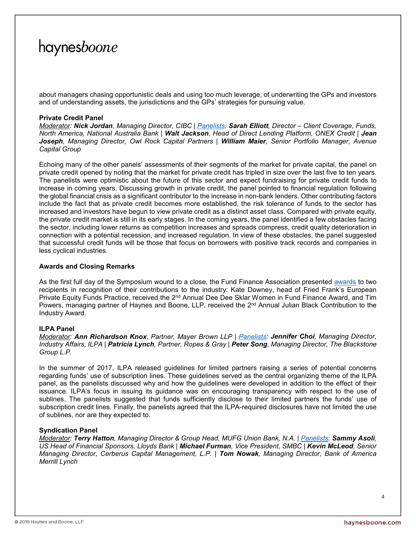about managers chasing opportunistic deals and using too much leverage, of underwriting the GPs and investors and of understanding assets, the jurisdictions and the GPs' strategies for pursuing value.

#### **Private Credit Panel**

*Moderator: Nick Jordan, Managing Director, CIBC | [Panelists:](https://www.fundfinanceassociation.com/global-conference/speakers/) Sarah Elliott, Director – Client Coverage, Funds, North America, National Australia Bank | Walt Jackson, Head of Direct Lending Platform, ONEX Credit | Jean Joseph, Managing Director, Owl Rock Capital Partners | William Maier, Senior Portfolio Manager, Avenue Capital Group*

Echoing many of the other panels' assessments of their segments of the market for private capital, the panel on private credit opened by noting that the market for private credit has tripled in size over the last five to ten years. The panelists were optimistic about the future of this sector and expect fundraising for private credit funds to increase in coming years. Discussing growth in private credit, the panel pointed to financial regulation following the global financial crisis as a significant contributor to the increase in non-bank lenders. Other contributing factors include the fact that as private credit becomes more established, the risk tolerance of funds to the sector has increased and investors have begun to view private credit as a distinct asset class. Compared with private equity, the private credit market is still in its early stages. In the coming years, the panel identified a few obstacles facing the sector, including lower returns as competition increases and spreads compress, credit quality deterioration in connection with a potential recession, and increased regulation. In view of these obstacles, the panel suggested that successful credit funds will be those that focus on borrowers with positive track records and companies in less cyclical industries.

#### **Awards and Closing Remarks**

As the first full day of the Symposium wound to a close, the Fund Finance Association presented [awards](https://www.fundfinanceassociation.com/awards/) to two recipients in recognition of their contributions to the industry: Kate Downey, head of Fried Frank's European Private Equity Funds Practice, received the 2<sup>nd</sup> Annual Dee Dee Sklar Women in Fund Finance Award, and Tim Powers, managing partner of Haynes and Boone, LLP, received the 2<sup>nd</sup> Annual Julian Black Contribution to the Industry Award.

#### **ILPA Panel**

*Moderator: Ann Richardson Knox, Partner, Mayer Brown LLP | [Panelists:](https://www.fundfinanceassociation.com/global-conference/speakers/) Jennifer Choi, Managing Director, Industry Affairs, ILPA | Patricia Lynch, Partner, Ropes & Gray | Peter Song, Managing Director, The Blackstone Group L.P.*

In the summer of 2017, ILPA released guidelines for limited partners raising a series of potential concerns regarding funds' use of subscription lines. These guidelines served as the central organizing theme of the ILPA panel, as the panelists discussed why and how the guidelines were developed in addition to the effect of their issuance. ILPA's focus in issuing its guidance was on encouraging transparency with respect to the use of sublines. The panelists suggested that funds sufficiently disclose to their limited partners the funds' use of subscription credit lines. Finally, the panelists agreed that the ILPA-required disclosures have not limited the use of sublines, nor are they expected to.

#### **Syndication Panel**

*Moderator: Terry Hatton, Managing Director & Group Head, MUFG Union Bank, N.A. | [Panelists:](https://www.fundfinanceassociation.com/global-conference/speakers/) Sammy Asoli, US Head of Financial Sponsors, Lloyds Bank | Michael Furman, Vice President, SMBC | Kevin McLeod, Senior Managing Director, Cerberus Capital Management, L.P. | Tom Nowak, Managing Director, Bank of America Merrill Lynch*